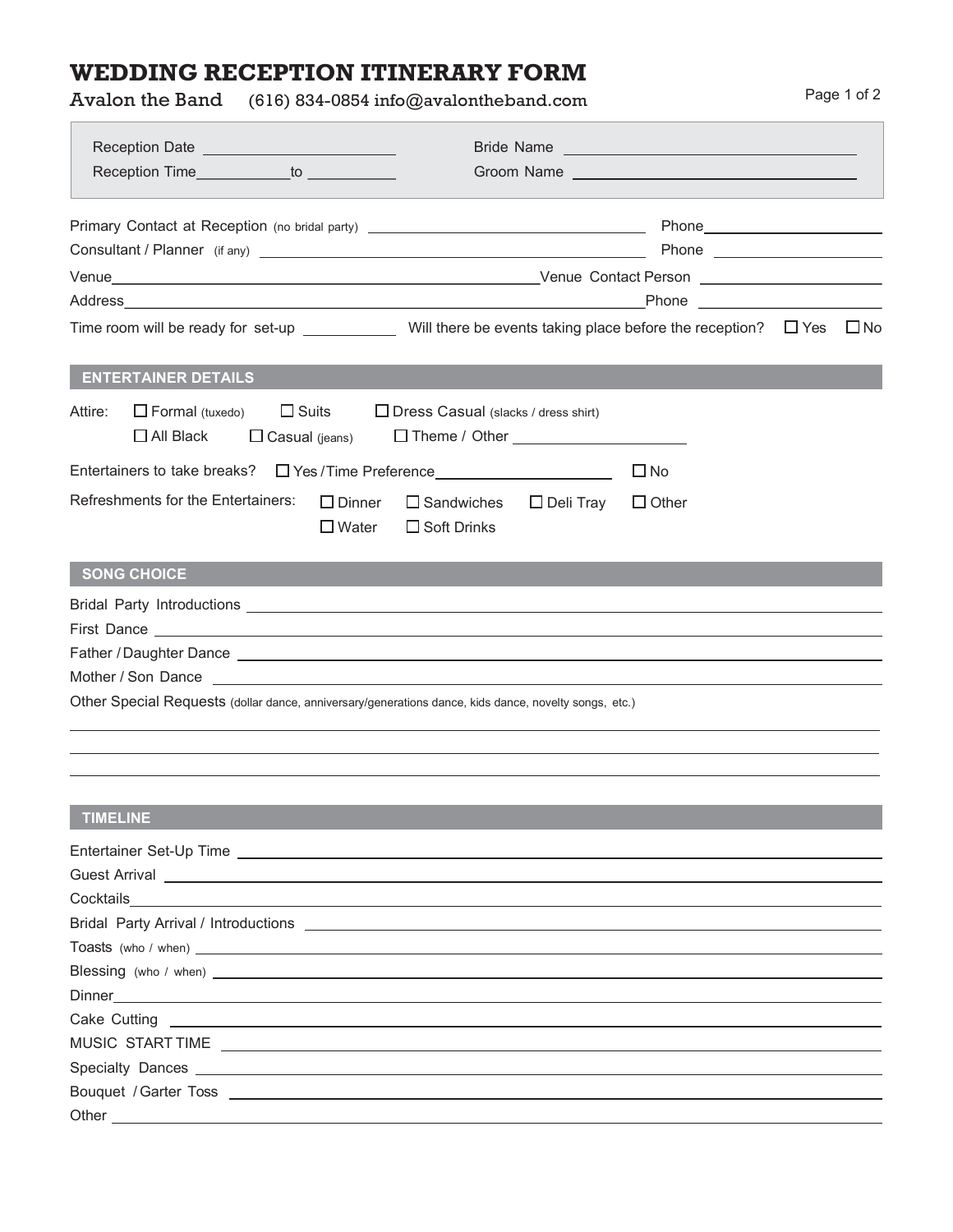## WEDDING RECEPTION ITINERARY FORM

Avalon the Band (616) 834-0854 info@avalontheband.com Page 1 of 2

| Reception Time____________to __________                                                                                                                                                                                              | Groom Name Name New York School School School School School School School School School School School School School School School School School School School School School School School School School School School School S |                               |              |
|--------------------------------------------------------------------------------------------------------------------------------------------------------------------------------------------------------------------------------------|--------------------------------------------------------------------------------------------------------------------------------------------------------------------------------------------------------------------------------|-------------------------------|--------------|
| Primary Contact at Reception (no bridal party) _________________________________                                                                                                                                                     |                                                                                                                                                                                                                                | Phone________________________ |              |
|                                                                                                                                                                                                                                      |                                                                                                                                                                                                                                |                               |              |
|                                                                                                                                                                                                                                      |                                                                                                                                                                                                                                |                               |              |
|                                                                                                                                                                                                                                      |                                                                                                                                                                                                                                |                               |              |
| Time room will be ready for set-up $\sqrt{2}$ Will there be events taking place before the reception? $\Box$ Yes                                                                                                                     |                                                                                                                                                                                                                                |                               | $\square$ No |
| <b>ENTERTAINER DETAILS</b>                                                                                                                                                                                                           |                                                                                                                                                                                                                                |                               |              |
| $\Box$ Suits<br>$\Box$ Formal (tuxedo)<br>Attire:<br>$\Box$ All Black<br>$\Box$ Casual (jeans)                                                                                                                                       | $\Box$ Dress Casual (slacks / dress shirt)<br>□ Theme / Other _______________________                                                                                                                                          |                               |              |
| Entertainers to take breaks?<br>$\Box$ Yes / Time Preference<br><u> </u>                                                                                                                                                             |                                                                                                                                                                                                                                | $\Box$ No                     |              |
| Refreshments for the Entertainers:<br>$\Box$ Dinner<br>$\Box$ Water                                                                                                                                                                  | $\Box$ Sandwiches<br>$\Box$ Deli Tray<br>$\Box$ Soft Drinks                                                                                                                                                                    | $\Box$ Other                  |              |
| <b>SONG CHOICE</b>                                                                                                                                                                                                                   |                                                                                                                                                                                                                                |                               |              |
|                                                                                                                                                                                                                                      |                                                                                                                                                                                                                                |                               |              |
| First Dance <u>experience and the series of the series of the series of the series of the series of the series of the series of the series of the series of the series of the series of the series of the series of the series o</u> |                                                                                                                                                                                                                                |                               |              |
|                                                                                                                                                                                                                                      |                                                                                                                                                                                                                                |                               |              |
|                                                                                                                                                                                                                                      |                                                                                                                                                                                                                                |                               |              |
| Other Special Requests (dollar dance, anniversary/generations dance, kids dance, novelty songs, etc.)                                                                                                                                |                                                                                                                                                                                                                                |                               |              |
|                                                                                                                                                                                                                                      |                                                                                                                                                                                                                                |                               |              |
| <b>TIMELINE</b>                                                                                                                                                                                                                      |                                                                                                                                                                                                                                |                               |              |
| Entertainer Set-Up Time <b>contract to the contract of the contract of the contract of the contract of the contract of the contract of the contract of the contract of the contract of the contract of the contract of the contr</b> |                                                                                                                                                                                                                                |                               |              |
| Guest Arrival <u>experience and the contract of the contract of the contract of the contract of the contract of the contract of the contract of the contract of the contract of the contract of the contract of the contract of </u> |                                                                                                                                                                                                                                |                               |              |
| Cocktails<br><u> 1989 - Johann Stoff, deutscher Stoffen und der Stoffen und der Stoffen und der Stoffen und der Stoffen und der</u>                                                                                                  |                                                                                                                                                                                                                                |                               |              |
|                                                                                                                                                                                                                                      |                                                                                                                                                                                                                                |                               |              |
|                                                                                                                                                                                                                                      |                                                                                                                                                                                                                                |                               |              |
|                                                                                                                                                                                                                                      |                                                                                                                                                                                                                                |                               |              |
| Dinner <u>___________________________________</u>                                                                                                                                                                                    |                                                                                                                                                                                                                                |                               |              |
| Cake Cutting <u>experience</u> and the control of the control of the control of the control of the control of the control of the control of the control of the control of the control of the control of the control of the control   |                                                                                                                                                                                                                                |                               |              |
| MUSIC START TIME <b>All and State of the Contract of the Contract of the Contract of Texas and State of Texas and State of Texas and State of Texas and State of Texas and Texas and Texas and Texas and Texas and Texas and Tex</b> |                                                                                                                                                                                                                                |                               |              |
|                                                                                                                                                                                                                                      |                                                                                                                                                                                                                                |                               |              |
| Other                                                                                                                                                                                                                                |                                                                                                                                                                                                                                |                               |              |